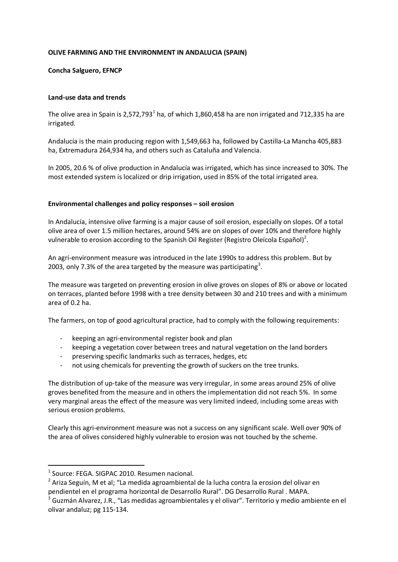## **OLIVE FARMING AND THE ENVIRONMENT IN ANDALUCIA (SPAIN)**

## **Concha Salguero, EFNCP**

## **Land-use data and trends**

The olive area in Spain is 2,572,793<sup>1</sup> ha, of which 1,860,458 ha are non irrigated and 712,335 ha are irrigated.

Andalucía is the main producing region with 1,549,663 ha, followed by Castilla-La Mancha 405,883 ha, Extremadura 264,934 ha, and others such as Cataluña and Valencia.

In 2005, 20.6 % of olive production in Andalucía was irrigated, which has since increased to 30%. The most extended system is localized or drip irrigation, used in 85% of the total irrigated area.

## **Environmental challenges and policy responses – soil erosion**

In Andalucía, intensive olive farming is a major cause of soil erosion, especially on slopes. Of a total olive area of over 1.5 million hectares, around 54% are on slopes of over 10% and therefore highly vulnerable to erosion according to the Spanish Oil Register (Registro Oleícola Español)<sup>2</sup>.

An agri-environment measure was introduced in the late 1990s to address this problem. But by 2003, only 7.3% of the area targeted by the measure was participating<sup>3</sup>.

The measure was targeted on preventing erosion in olive groves on slopes of 8% or above or located on terraces, planted before 1998 with a tree density between 30 and 210 trees and with a minimum area of 0.2 ha.

The farmers, on top of good agricultural practice, had to comply with the following requirements:

- keeping an agri-environmental register book and plan
- keeping a vegetation cover between trees and natural vegetation on the land borders
- preserving specific landmarks such as terraces, hedges, etc
- not using chemicals for preventing the growth of suckers on the tree trunks.

The distribution of up-take of the measure was very irregular, in some areas around 25% of olive groves benefited from the measure and in others the implementation did not reach 5%. In some very marginal areas the effect of the measure was very limited indeed, including some areas with serious erosion problems.

Clearly this agri-environment measure was not a success on any significant scale. Well over 90% of the area of olives considered highly vulnerable to erosion was not touched by the scheme.

<u>.</u>

<sup>&</sup>lt;sup>1</sup> Source: FEGA. SIGPAC 2010. Resumen nacional.

<sup>&</sup>lt;sup>2</sup> Ariza Seguín, M et al; "La medida agroambiental de la lucha contra la erosion del olivar en pendientel en el programa horizontal de Desarrollo Rural". DG Desarrollo Rural . MAPA.

 $3$  Guzmán Alvarez, J.R., "Las medidas agroambientales y el olivar". Territorio y medio ambiente en el olivar andaluz; pg 115-134.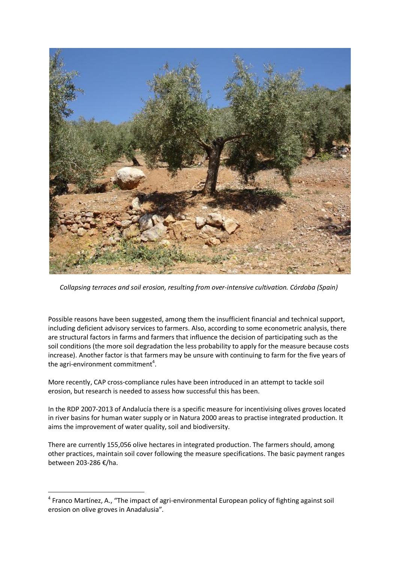

*Collapsing terraces and soil erosion, resulting from over-intensive cultivation. Córdoba (Spain)* 

Possible reasons have been suggested, among them the insufficient financial and technical support, including deficient advisory services to farmers. Also, according to some econometric analysis, there are structural factors in farms and farmers that influence the decision of participating such as the soil conditions (the more soil degradation the less probability to apply for the measure because costs increase). Another factor is that farmers may be unsure with continuing to farm for the five years of the agri-environment commitment<sup>4</sup>.

More recently, CAP cross-compliance rules have been introduced in an attempt to tackle soil erosion, but research is needed to assess how successful this has been.

In the RDP 2007-2013 of Andalucía there is a specific measure for incentivising olives groves located in river basins for human water supply or in Natura 2000 areas to practise integrated production. It aims the improvement of water quality, soil and biodiversity.

There are currently 155,056 olive hectares in integrated production. The farmers should, among other practices, maintain soil cover following the measure specifications. The basic payment ranges between 203-286 €/ha.

 $\overline{a}$ 

<sup>&</sup>lt;sup>4</sup> Franco Martínez, A., "The impact of agri-environmental European policy of fighting against soil erosion on olive groves in Anadalusia".